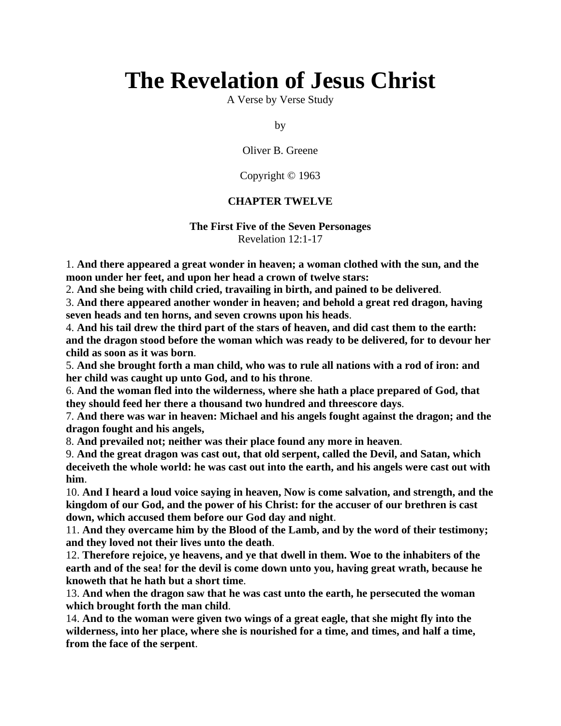# **The Revelation of Jesus Christ**

A Verse by Verse Study

by

Oliver B. Greene

Copyright © 1963

## **CHAPTER TWELVE**

### **The First Five of the Seven Personages** Revelation 12:1-17

1. **And there appeared a great wonder in heaven; a woman clothed with the sun, and the moon under her feet, and upon her head a crown of twelve stars:**

2. **And she being with child cried, travailing in birth, and pained to be delivered**.

3. **And there appeared another wonder in heaven; and behold a great red dragon, having seven heads and ten horns, and seven crowns upon his heads**.

4. **And his tail drew the third part of the stars of heaven, and did cast them to the earth: and the dragon stood before the woman which was ready to be delivered, for to devour her child as soon as it was born**.

5. **And she brought forth a man child, who was to rule all nations with a rod of iron: and her child was caught up unto God, and to his throne**.

6. **And the woman fled into the wilderness, where she hath a place prepared of God, that they should feed her there a thousand two hundred and threescore days**.

7. **And there was war in heaven: Michael and his angels fought against the dragon; and the dragon fought and his angels,**

8. **And prevailed not; neither was their place found any more in heaven**.

9. **And the great dragon was cast out, that old serpent, called the Devil, and Satan, which deceiveth the whole world: he was cast out into the earth, and his angels were cast out with him**.

10. **And I heard a loud voice saying in heaven, Now is come salvation, and strength, and the kingdom of our God, and the power of his Christ: for the accuser of our brethren is cast down, which accused them before our God day and night**.

11. **And they overcame him by the Blood of the Lamb, and by the word of their testimony; and they loved not their lives unto the death**.

12. **Therefore rejoice, ye heavens, and ye that dwell in them. Woe to the inhabiters of the earth and of the sea! for the devil is come down unto you, having great wrath, because he knoweth that he hath but a short time**.

13. **And when the dragon saw that he was cast unto the earth, he persecuted the woman which brought forth the man child**.

14. **And to the woman were given two wings of a great eagle, that she might fly into the wilderness, into her place, where she is nourished for a time, and times, and half a time, from the face of the serpent**.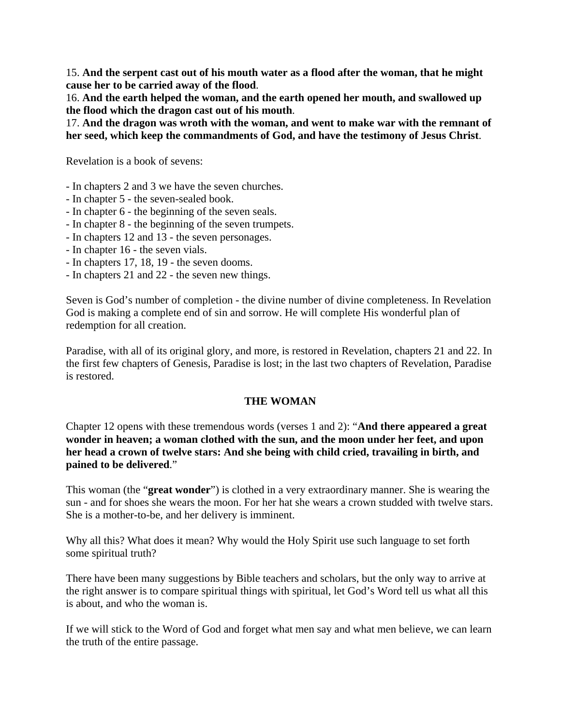15. **And the serpent cast out of his mouth water as a flood after the woman, that he might cause her to be carried away of the flood**.

16. **And the earth helped the woman, and the earth opened her mouth, and swallowed up the flood which the dragon cast out of his mouth**.

17. **And the dragon was wroth with the woman, and went to make war with the remnant of her seed, which keep the commandments of God, and have the testimony of Jesus Christ**.

Revelation is a book of sevens:

- In chapters 2 and 3 we have the seven churches.
- In chapter 5 the seven-sealed book.
- In chapter 6 the beginning of the seven seals.
- In chapter 8 the beginning of the seven trumpets.
- In chapters 12 and 13 the seven personages.
- In chapter 16 the seven vials.
- In chapters 17, 18, 19 the seven dooms.
- In chapters 21 and 22 the seven new things.

Seven is God's number of completion - the divine number of divine completeness. In Revelation God is making a complete end of sin and sorrow. He will complete His wonderful plan of redemption for all creation.

Paradise, with all of its original glory, and more, is restored in Revelation, chapters 21 and 22. In the first few chapters of Genesis, Paradise is lost; in the last two chapters of Revelation, Paradise is restored.

## **THE WOMAN**

Chapter 12 opens with these tremendous words (verses 1 and 2): "**And there appeared a great wonder in heaven; a woman clothed with the sun, and the moon under her feet, and upon her head a crown of twelve stars: And she being with child cried, travailing in birth, and pained to be delivered**."

This woman (the "**great wonder**") is clothed in a very extraordinary manner. She is wearing the sun - and for shoes she wears the moon. For her hat she wears a crown studded with twelve stars. She is a mother-to-be, and her delivery is imminent.

Why all this? What does it mean? Why would the Holy Spirit use such language to set forth some spiritual truth?

There have been many suggestions by Bible teachers and scholars, but the only way to arrive at the right answer is to compare spiritual things with spiritual, let God's Word tell us what all this is about, and who the woman is.

If we will stick to the Word of God and forget what men say and what men believe, we can learn the truth of the entire passage.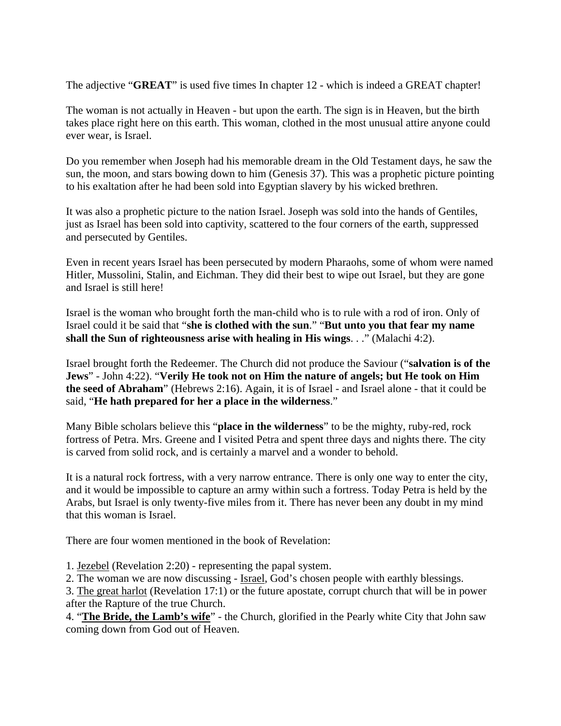The adjective "**GREAT**" is used five times In chapter 12 - which is indeed a GREAT chapter!

The woman is not actually in Heaven - but upon the earth. The sign is in Heaven, but the birth takes place right here on this earth. This woman, clothed in the most unusual attire anyone could ever wear, is Israel.

Do you remember when Joseph had his memorable dream in the Old Testament days, he saw the sun, the moon, and stars bowing down to him (Genesis 37). This was a prophetic picture pointing to his exaltation after he had been sold into Egyptian slavery by his wicked brethren.

It was also a prophetic picture to the nation Israel. Joseph was sold into the hands of Gentiles, just as Israel has been sold into captivity, scattered to the four corners of the earth, suppressed and persecuted by Gentiles.

Even in recent years Israel has been persecuted by modern Pharaohs, some of whom were named Hitler, Mussolini, Stalin, and Eichman. They did their best to wipe out Israel, but they are gone and Israel is still here!

Israel is the woman who brought forth the man-child who is to rule with a rod of iron. Only of Israel could it be said that "**she is clothed with the sun**." "**But unto you that fear my name shall the Sun of righteousness arise with healing in His wings**. . ." (Malachi 4:2).

Israel brought forth the Redeemer. The Church did not produce the Saviour ("**salvation is of the Jews**" - John 4:22). "**Verily He took not on Him the nature of angels; but He took on Him the seed of Abraham**" (Hebrews 2:16). Again, it is of Israel - and Israel alone - that it could be said, "**He hath prepared for her a place in the wilderness**."

Many Bible scholars believe this "**place in the wilderness**" to be the mighty, ruby-red, rock fortress of Petra. Mrs. Greene and I visited Petra and spent three days and nights there. The city is carved from solid rock, and is certainly a marvel and a wonder to behold.

It is a natural rock fortress, with a very narrow entrance. There is only one way to enter the city, and it would be impossible to capture an army within such a fortress. Today Petra is held by the Arabs, but Israel is only twenty-five miles from it. There has never been any doubt in my mind that this woman is Israel.

There are four women mentioned in the book of Revelation:

1. Jezebel (Revelation 2:20) - representing the papal system.

2. The woman we are now discussing - Israel, God's chosen people with earthly blessings.

3. The great harlot (Revelation 17:1) or the future apostate, corrupt church that will be in power after the Rapture of the true Church.

4. "**The Bride, the Lamb's wife**" - the Church, glorified in the Pearly white City that John saw coming down from God out of Heaven.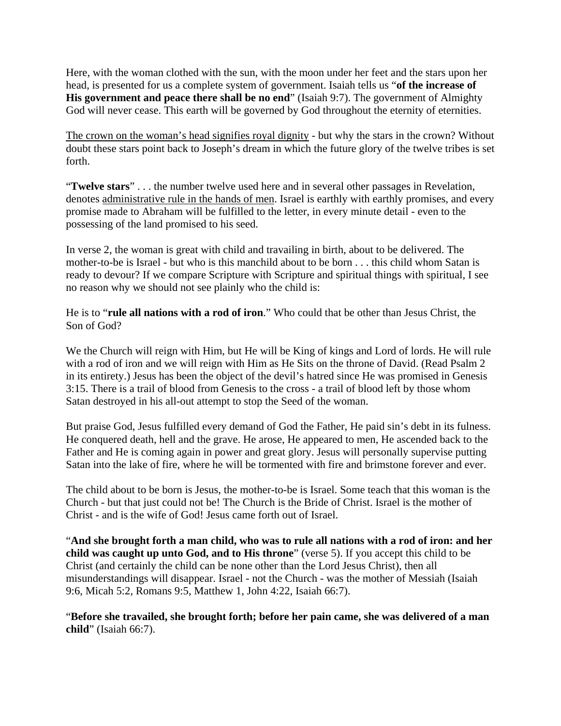Here, with the woman clothed with the sun, with the moon under her feet and the stars upon her head, is presented for us a complete system of government. Isaiah tells us "**of the increase of His government and peace there shall be no end**" (Isaiah 9:7). The government of Almighty God will never cease. This earth will be governed by God throughout the eternity of eternities.

The crown on the woman's head signifies royal dignity - but why the stars in the crown? Without doubt these stars point back to Joseph's dream in which the future glory of the twelve tribes is set forth.

"**Twelve stars**" . . . the number twelve used here and in several other passages in Revelation, denotes administrative rule in the hands of men. Israel is earthly with earthly promises, and every promise made to Abraham will be fulfilled to the letter, in every minute detail - even to the possessing of the land promised to his seed.

In verse 2, the woman is great with child and travailing in birth, about to be delivered. The mother-to-be is Israel - but who is this manchild about to be born . . . this child whom Satan is ready to devour? If we compare Scripture with Scripture and spiritual things with spiritual, I see no reason why we should not see plainly who the child is:

He is to "**rule all nations with a rod of iron**." Who could that be other than Jesus Christ, the Son of God?

We the Church will reign with Him, but He will be King of kings and Lord of lords. He will rule with a rod of iron and we will reign with Him as He Sits on the throne of David. (Read Psalm 2) in its entirety.) Jesus has been the object of the devil's hatred since He was promised in Genesis 3:15. There is a trail of blood from Genesis to the cross - a trail of blood left by those whom Satan destroyed in his all-out attempt to stop the Seed of the woman.

But praise God, Jesus fulfilled every demand of God the Father, He paid sin's debt in its fulness. He conquered death, hell and the grave. He arose, He appeared to men, He ascended back to the Father and He is coming again in power and great glory. Jesus will personally supervise putting Satan into the lake of fire, where he will be tormented with fire and brimstone forever and ever.

The child about to be born is Jesus, the mother-to-be is Israel. Some teach that this woman is the Church - but that just could not be! The Church is the Bride of Christ. Israel is the mother of Christ - and is the wife of God! Jesus came forth out of Israel.

"**And she brought forth a man child, who was to rule all nations with a rod of iron: and her child was caught up unto God, and to His throne**" (verse 5). If you accept this child to be Christ (and certainly the child can be none other than the Lord Jesus Christ), then all misunderstandings will disappear. Israel - not the Church - was the mother of Messiah (Isaiah 9:6, Micah 5:2, Romans 9:5, Matthew 1, John 4:22, Isaiah 66:7).

"**Before she travailed, she brought forth; before her pain came, she was delivered of a man child**" (Isaiah 66:7).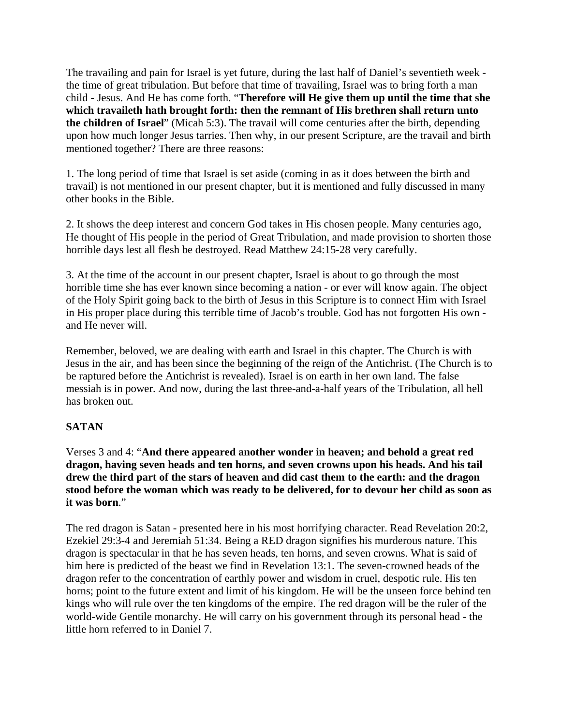The travailing and pain for Israel is yet future, during the last half of Daniel's seventieth week the time of great tribulation. But before that time of travailing, Israel was to bring forth a man child - Jesus. And He has come forth. "**Therefore will He give them up until the time that she which travaileth hath brought forth: then the remnant of His brethren shall return unto the children of Israel**" (Micah 5:3). The travail will come centuries after the birth, depending upon how much longer Jesus tarries. Then why, in our present Scripture, are the travail and birth mentioned together? There are three reasons:

1. The long period of time that Israel is set aside (coming in as it does between the birth and travail) is not mentioned in our present chapter, but it is mentioned and fully discussed in many other books in the Bible.

2. It shows the deep interest and concern God takes in His chosen people. Many centuries ago, He thought of His people in the period of Great Tribulation, and made provision to shorten those horrible days lest all flesh be destroyed. Read Matthew 24:15-28 very carefully.

3. At the time of the account in our present chapter, Israel is about to go through the most horrible time she has ever known since becoming a nation - or ever will know again. The object of the Holy Spirit going back to the birth of Jesus in this Scripture is to connect Him with Israel in His proper place during this terrible time of Jacob's trouble. God has not forgotten His own and He never will.

Remember, beloved, we are dealing with earth and Israel in this chapter. The Church is with Jesus in the air, and has been since the beginning of the reign of the Antichrist. (The Church is to be raptured before the Antichrist is revealed). Israel is on earth in her own land. The false messiah is in power. And now, during the last three-and-a-half years of the Tribulation, all hell has broken out.

## **SATAN**

Verses 3 and 4: "**And there appeared another wonder in heaven; and behold a great red dragon, having seven heads and ten horns, and seven crowns upon his heads. And his tail drew the third part of the stars of heaven and did cast them to the earth: and the dragon stood before the woman which was ready to be delivered, for to devour her child as soon as it was born**."

The red dragon is Satan - presented here in his most horrifying character. Read Revelation 20:2, Ezekiel 29:3-4 and Jeremiah 51:34. Being a RED dragon signifies his murderous nature. This dragon is spectacular in that he has seven heads, ten horns, and seven crowns. What is said of him here is predicted of the beast we find in Revelation 13:1. The seven-crowned heads of the dragon refer to the concentration of earthly power and wisdom in cruel, despotic rule. His ten horns; point to the future extent and limit of his kingdom. He will be the unseen force behind ten kings who will rule over the ten kingdoms of the empire. The red dragon will be the ruler of the world-wide Gentile monarchy. He will carry on his government through its personal head - the little horn referred to in Daniel 7.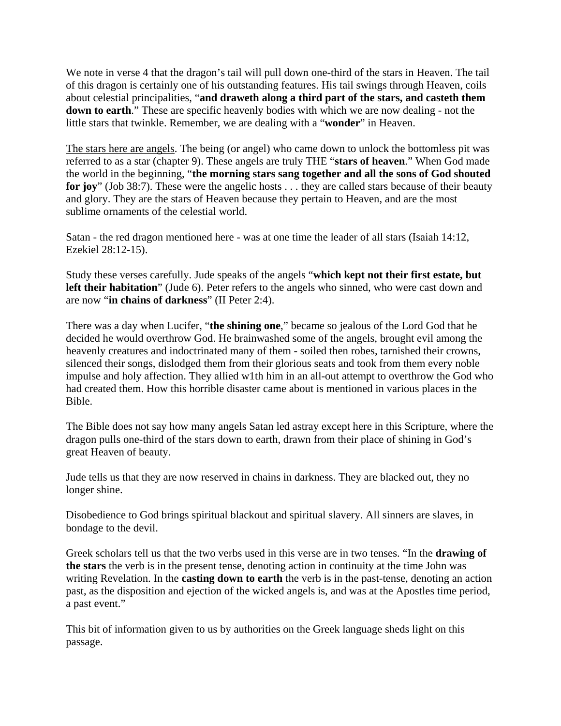We note in verse 4 that the dragon's tail will pull down one-third of the stars in Heaven. The tail of this dragon is certainly one of his outstanding features. His tail swings through Heaven, coils about celestial principalities, "**and draweth along a third part of the stars, and casteth them down to earth**." These are specific heavenly bodies with which we are now dealing - not the little stars that twinkle. Remember, we are dealing with a "**wonder**" in Heaven.

The stars here are angels. The being (or angel) who came down to unlock the bottomless pit was referred to as a star (chapter 9). These angels are truly THE "**stars of heaven**." When God made the world in the beginning, "**the morning stars sang together and all the sons of God shouted for joy**" (Job 38:7). These were the angelic hosts . . . they are called stars because of their beauty and glory. They are the stars of Heaven because they pertain to Heaven, and are the most sublime ornaments of the celestial world.

Satan - the red dragon mentioned here - was at one time the leader of all stars (Isaiah 14:12, Ezekiel 28:12-15).

Study these verses carefully. Jude speaks of the angels "**which kept not their first estate, but left their habitation**" (Jude 6). Peter refers to the angels who sinned, who were cast down and are now "**in chains of darkness**" (II Peter 2:4).

There was a day when Lucifer, "**the shining one**," became so jealous of the Lord God that he decided he would overthrow God. He brainwashed some of the angels, brought evil among the heavenly creatures and indoctrinated many of them - soiled then robes, tarnished their crowns, silenced their songs, dislodged them from their glorious seats and took from them every noble impulse and holy affection. They allied w1th him in an all-out attempt to overthrow the God who had created them. How this horrible disaster came about is mentioned in various places in the Bible.

The Bible does not say how many angels Satan led astray except here in this Scripture, where the dragon pulls one-third of the stars down to earth, drawn from their place of shining in God's great Heaven of beauty.

Jude tells us that they are now reserved in chains in darkness. They are blacked out, they no longer shine.

Disobedience to God brings spiritual blackout and spiritual slavery. All sinners are slaves, in bondage to the devil.

Greek scholars tell us that the two verbs used in this verse are in two tenses. "In the **drawing of the stars** the verb is in the present tense, denoting action in continuity at the time John was writing Revelation. In the **casting down to earth** the verb is in the past-tense, denoting an action past, as the disposition and ejection of the wicked angels is, and was at the Apostles time period, a past event."

This bit of information given to us by authorities on the Greek language sheds light on this passage.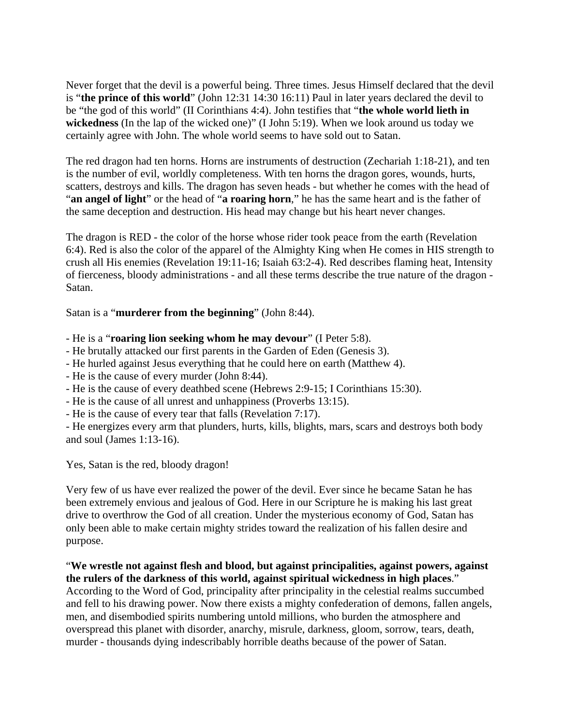Never forget that the devil is a powerful being. Three times. Jesus Himself declared that the devil is "**the prince of this world**" (John 12:31 14:30 16:11) Paul in later years declared the devil to be "the god of this world" (II Corinthians 4:4). John testifies that "**the whole world lieth in wickedness** (In the lap of the wicked one)" (I John 5:19). When we look around us today we certainly agree with John. The whole world seems to have sold out to Satan.

The red dragon had ten horns. Horns are instruments of destruction (Zechariah 1:18-21), and ten is the number of evil, worldly completeness. With ten horns the dragon gores, wounds, hurts, scatters, destroys and kills. The dragon has seven heads - but whether he comes with the head of "**an angel of light**" or the head of "**a roaring horn**," he has the same heart and is the father of the same deception and destruction. His head may change but his heart never changes.

The dragon is RED - the color of the horse whose rider took peace from the earth (Revelation 6:4). Red is also the color of the apparel of the Almighty King when He comes in HIS strength to crush all His enemies (Revelation 19:11-16; Isaiah 63:2-4). Red describes flaming heat, Intensity of fierceness, bloody administrations - and all these terms describe the true nature of the dragon - Satan.

Satan is a "**murderer from the beginning**" (John 8:44).

- He is a "**roaring lion seeking whom he may devour**" (I Peter 5:8).

- He brutally attacked our first parents in the Garden of Eden (Genesis 3).

- He hurled against Jesus everything that he could here on earth (Matthew 4).

- He is the cause of every murder (John 8:44).
- He is the cause of every deathbed scene (Hebrews 2:9-15; I Corinthians 15:30).

- He is the cause of all unrest and unhappiness (Proverbs 13:15).

- He is the cause of every tear that falls (Revelation 7:17).

- He energizes every arm that plunders, hurts, kills, blights, mars, scars and destroys both body and soul (James 1:13-16).

Yes, Satan is the red, bloody dragon!

Very few of us have ever realized the power of the devil. Ever since he became Satan he has been extremely envious and jealous of God. Here in our Scripture he is making his last great drive to overthrow the God of all creation. Under the mysterious economy of God, Satan has only been able to make certain mighty strides toward the realization of his fallen desire and purpose.

"**We wrestle not against flesh and blood, but against principalities, against powers, against the rulers of the darkness of this world, against spiritual wickedness in high places**." According to the Word of God, principality after principality in the celestial realms succumbed and fell to his drawing power. Now there exists a mighty confederation of demons, fallen angels, men, and disembodied spirits numbering untold millions, who burden the atmosphere and overspread this planet with disorder, anarchy, misrule, darkness, gloom, sorrow, tears, death, murder - thousands dying indescribably horrible deaths because of the power of Satan.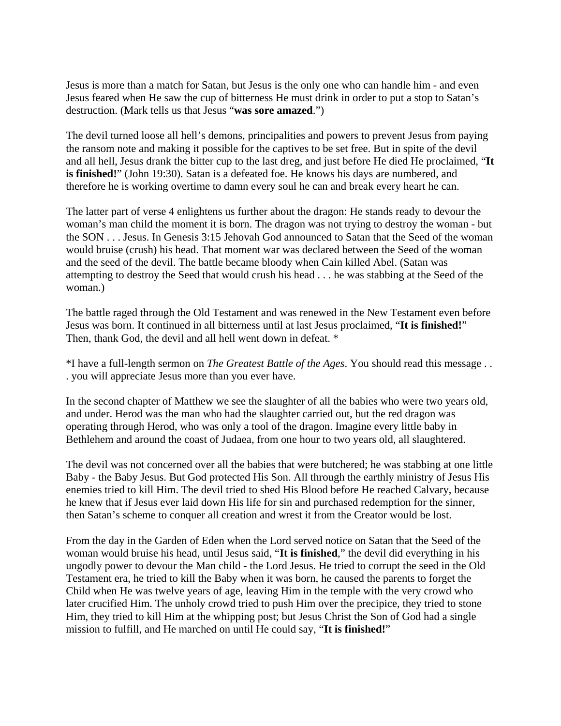Jesus is more than a match for Satan, but Jesus is the only one who can handle him - and even Jesus feared when He saw the cup of bitterness He must drink in order to put a stop to Satan's destruction. (Mark tells us that Jesus "**was sore amazed**.")

The devil turned loose all hell's demons, principalities and powers to prevent Jesus from paying the ransom note and making it possible for the captives to be set free. But in spite of the devil and all hell, Jesus drank the bitter cup to the last dreg, and just before He died He proclaimed, "**It is finished!**" (John 19:30). Satan is a defeated foe. He knows his days are numbered, and therefore he is working overtime to damn every soul he can and break every heart he can.

The latter part of verse 4 enlightens us further about the dragon: He stands ready to devour the woman's man child the moment it is born. The dragon was not trying to destroy the woman - but the SON . . . Jesus. In Genesis 3:15 Jehovah God announced to Satan that the Seed of the woman would bruise (crush) his head. That moment war was declared between the Seed of the woman and the seed of the devil. The battle became bloody when Cain killed Abel. (Satan was attempting to destroy the Seed that would crush his head . . . he was stabbing at the Seed of the woman.)

The battle raged through the Old Testament and was renewed in the New Testament even before Jesus was born. It continued in all bitterness until at last Jesus proclaimed, "**It is finished!**" Then, thank God, the devil and all hell went down in defeat. \*

\*I have a full-length sermon on *The Greatest Battle of the Ages*. You should read this message . . . you will appreciate Jesus more than you ever have.

In the second chapter of Matthew we see the slaughter of all the babies who were two years old, and under. Herod was the man who had the slaughter carried out, but the red dragon was operating through Herod, who was only a tool of the dragon. Imagine every little baby in Bethlehem and around the coast of Judaea, from one hour to two years old, all slaughtered.

The devil was not concerned over all the babies that were butchered; he was stabbing at one little Baby - the Baby Jesus. But God protected His Son. All through the earthly ministry of Jesus His enemies tried to kill Him. The devil tried to shed His Blood before He reached Calvary, because he knew that if Jesus ever laid down His life for sin and purchased redemption for the sinner, then Satan's scheme to conquer all creation and wrest it from the Creator would be lost.

From the day in the Garden of Eden when the Lord served notice on Satan that the Seed of the woman would bruise his head, until Jesus said, "**It is finished**," the devil did everything in his ungodly power to devour the Man child - the Lord Jesus. He tried to corrupt the seed in the Old Testament era, he tried to kill the Baby when it was born, he caused the parents to forget the Child when He was twelve years of age, leaving Him in the temple with the very crowd who later crucified Him. The unholy crowd tried to push Him over the precipice, they tried to stone Him, they tried to kill Him at the whipping post; but Jesus Christ the Son of God had a single mission to fulfill, and He marched on until He could say, "**It is finished!**"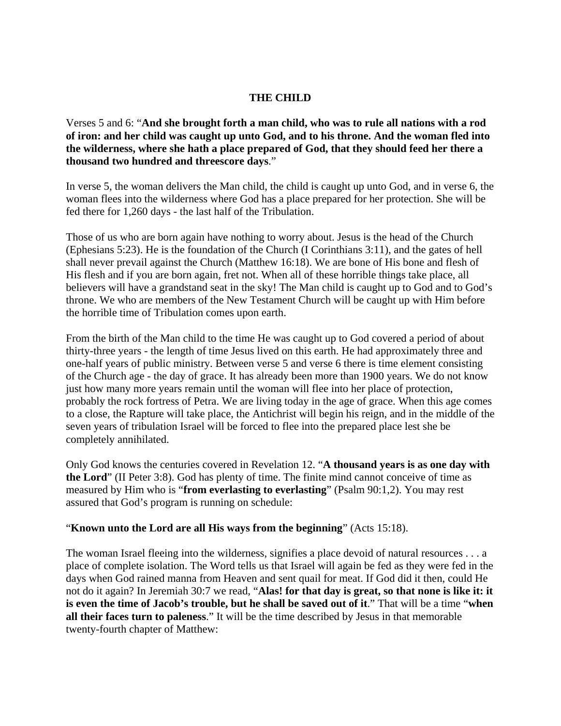## **THE CHILD**

Verses 5 and 6: "**And she brought forth a man child, who was to rule all nations with a rod of iron: and her child was caught up unto God, and to his throne. And the woman fled into the wilderness, where she hath a place prepared of God, that they should feed her there a thousand two hundred and threescore days**."

In verse 5, the woman delivers the Man child, the child is caught up unto God, and in verse 6, the woman flees into the wilderness where God has a place prepared for her protection. She will be fed there for 1,260 days - the last half of the Tribulation.

Those of us who are born again have nothing to worry about. Jesus is the head of the Church (Ephesians 5:23). He is the foundation of the Church (I Corinthians 3:11), and the gates of hell shall never prevail against the Church (Matthew 16:18). We are bone of His bone and flesh of His flesh and if you are born again, fret not. When all of these horrible things take place, all believers will have a grandstand seat in the sky! The Man child is caught up to God and to God's throne. We who are members of the New Testament Church will be caught up with Him before the horrible time of Tribulation comes upon earth.

From the birth of the Man child to the time He was caught up to God covered a period of about thirty-three years - the length of time Jesus lived on this earth. He had approximately three and one-half years of public ministry. Between verse 5 and verse 6 there is time element consisting of the Church age - the day of grace. It has already been more than 1900 years. We do not know just how many more years remain until the woman will flee into her place of protection, probably the rock fortress of Petra. We are living today in the age of grace. When this age comes to a close, the Rapture will take place, the Antichrist will begin his reign, and in the middle of the seven years of tribulation Israel will be forced to flee into the prepared place lest she be completely annihilated.

Only God knows the centuries covered in Revelation 12. "**A thousand years is as one day with the Lord**" (II Peter 3:8). God has plenty of time. The finite mind cannot conceive of time as measured by Him who is "**from everlasting to everlasting**" (Psalm 90:1,2). You may rest assured that God's program is running on schedule:

"**Known unto the Lord are all His ways from the beginning**" (Acts 15:18).

The woman Israel fleeing into the wilderness, signifies a place devoid of natural resources . . . a place of complete isolation. The Word tells us that Israel will again be fed as they were fed in the days when God rained manna from Heaven and sent quail for meat. If God did it then, could He not do it again? In Jeremiah 30:7 we read, "**Alas! for that day is great, so that none is like it: it is even the time of Jacob's trouble, but he shall be saved out of it**." That will be a time "**when all their faces turn to paleness**." It will be the time described by Jesus in that memorable twenty-fourth chapter of Matthew: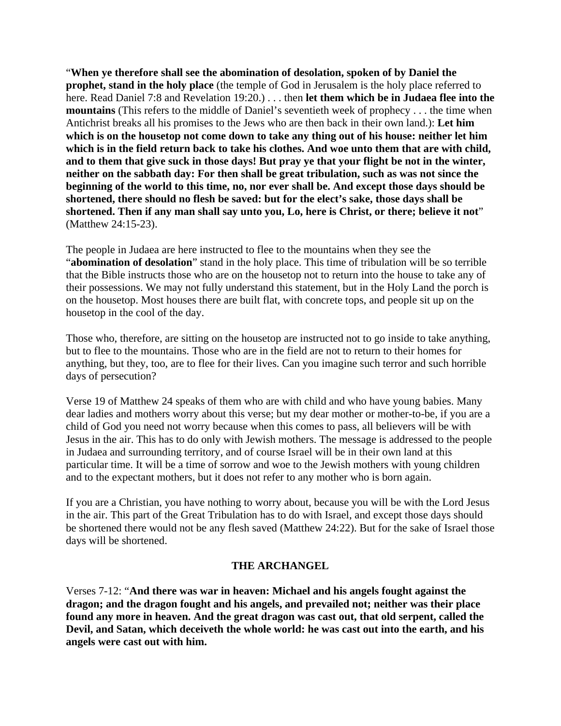"**When ye therefore shall see the abomination of desolation, spoken of by Daniel the prophet, stand in the holy place** (the temple of God in Jerusalem is the holy place referred to here. Read Daniel 7:8 and Revelation 19:20.) . . . then **let them which be in Judaea flee into the mountains** (This refers to the middle of Daniel's seventieth week of prophecy . . . the time when Antichrist breaks all his promises to the Jews who are then back in their own land.): **Let him which is on the housetop not come down to take any thing out of his house: neither let him which is in the field return back to take his clothes. And woe unto them that are with child, and to them that give suck in those days! But pray ye that your flight be not in the winter, neither on the sabbath day: For then shall be great tribulation, such as was not since the beginning of the world to this time, no, nor ever shall be. And except those days should be shortened, there should no flesh be saved: but for the elect's sake, those days shall be shortened. Then if any man shall say unto you, Lo, here is Christ, or there; believe it not**" (Matthew 24:15-23).

The people in Judaea are here instructed to flee to the mountains when they see the "**abomination of desolation**" stand in the holy place. This time of tribulation will be so terrible that the Bible instructs those who are on the housetop not to return into the house to take any of their possessions. We may not fully understand this statement, but in the Holy Land the porch is on the housetop. Most houses there are built flat, with concrete tops, and people sit up on the housetop in the cool of the day.

Those who, therefore, are sitting on the housetop are instructed not to go inside to take anything, but to flee to the mountains. Those who are in the field are not to return to their homes for anything, but they, too, are to flee for their lives. Can you imagine such terror and such horrible days of persecution?

Verse 19 of Matthew 24 speaks of them who are with child and who have young babies. Many dear ladies and mothers worry about this verse; but my dear mother or mother-to-be, if you are a child of God you need not worry because when this comes to pass, all believers will be with Jesus in the air. This has to do only with Jewish mothers. The message is addressed to the people in Judaea and surrounding territory, and of course Israel will be in their own land at this particular time. It will be a time of sorrow and woe to the Jewish mothers with young children and to the expectant mothers, but it does not refer to any mother who is born again.

If you are a Christian, you have nothing to worry about, because you will be with the Lord Jesus in the air. This part of the Great Tribulation has to do with Israel, and except those days should be shortened there would not be any flesh saved (Matthew 24:22). But for the sake of Israel those days will be shortened.

### **THE ARCHANGEL**

Verses 7-12: "**And there was war in heaven: Michael and his angels fought against the dragon; and the dragon fought and his angels, and prevailed not; neither was their place found any more in heaven. And the great dragon was cast out, that old serpent, called the Devil, and Satan, which deceiveth the whole world: he was cast out into the earth, and his angels were cast out with him.**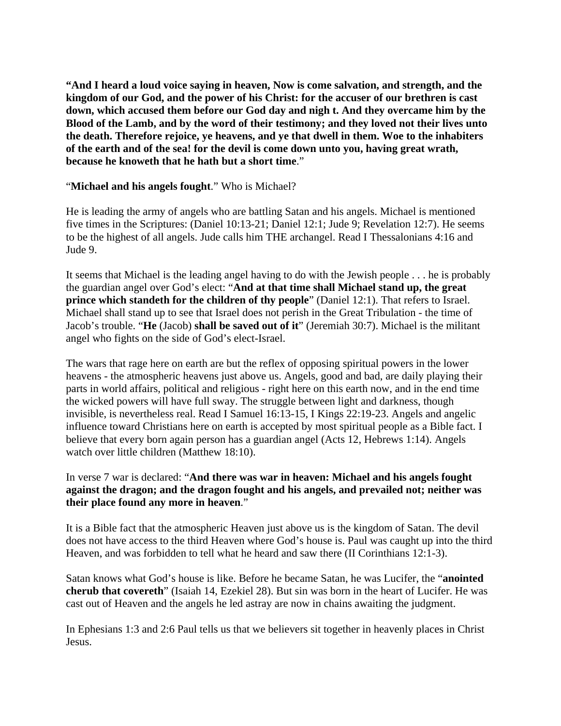**"And I heard a loud voice saying in heaven, Now is come salvation, and strength, and the kingdom of our God, and the power of his Christ: for the accuser of our brethren is cast down, which accused them before our God day and nigh t. And they overcame him by the Blood of the Lamb, and by the word of their testimony; and they loved not their lives unto the death. Therefore rejoice, ye heavens, and ye that dwell in them. Woe to the inhabiters of the earth and of the sea! for the devil is come down unto you, having great wrath, because he knoweth that he hath but a short time**."

## "**Michael and his angels fought**." Who is Michael?

He is leading the army of angels who are battling Satan and his angels. Michael is mentioned five times in the Scriptures: (Daniel 10:13-21; Daniel 12:1; Jude 9; Revelation 12:7). He seems to be the highest of all angels. Jude calls him THE archangel. Read I Thessalonians 4:16 and Jude 9.

It seems that Michael is the leading angel having to do with the Jewish people . . . he is probably the guardian angel over God's elect: "**And at that time shall Michael stand up, the great prince which standeth for the children of thy people**" (Daniel 12:1). That refers to Israel. Michael shall stand up to see that Israel does not perish in the Great Tribulation - the time of Jacob's trouble. "**He** (Jacob) **shall be saved out of it**" (Jeremiah 30:7). Michael is the militant angel who fights on the side of God's elect-Israel.

The wars that rage here on earth are but the reflex of opposing spiritual powers in the lower heavens - the atmospheric heavens just above us. Angels, good and bad, are daily playing their parts in world affairs, political and religious - right here on this earth now, and in the end time the wicked powers will have full sway. The struggle between light and darkness, though invisible, is nevertheless real. Read I Samuel 16:13-15, I Kings 22:19-23. Angels and angelic influence toward Christians here on earth is accepted by most spiritual people as a Bible fact. I believe that every born again person has a guardian angel (Acts 12, Hebrews 1:14). Angels watch over little children (Matthew 18:10).

## In verse 7 war is declared: "**And there was war in heaven: Michael and his angels fought against the dragon; and the dragon fought and his angels, and prevailed not; neither was their place found any more in heaven**."

It is a Bible fact that the atmospheric Heaven just above us is the kingdom of Satan. The devil does not have access to the third Heaven where God's house is. Paul was caught up into the third Heaven, and was forbidden to tell what he heard and saw there (II Corinthians 12:1-3).

Satan knows what God's house is like. Before he became Satan, he was Lucifer, the "**anointed cherub that covereth**" (Isaiah 14, Ezekiel 28). But sin was born in the heart of Lucifer. He was cast out of Heaven and the angels he led astray are now in chains awaiting the judgment.

In Ephesians 1:3 and 2:6 Paul tells us that we believers sit together in heavenly places in Christ Jesus.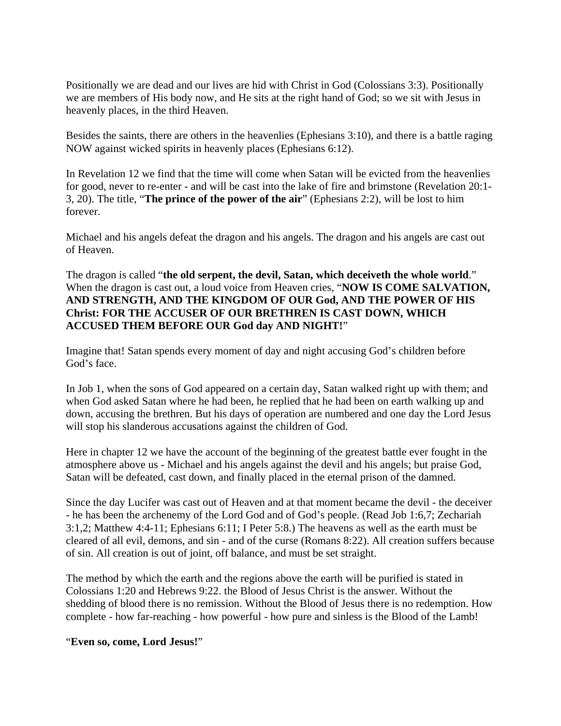Positionally we are dead and our lives are hid with Christ in God (Colossians 3:3). Positionally we are members of His body now, and He sits at the right hand of God; so we sit with Jesus in heavenly places, in the third Heaven.

Besides the saints, there are others in the heavenlies (Ephesians 3:10), and there is a battle raging NOW against wicked spirits in heavenly places (Ephesians 6:12).

In Revelation 12 we find that the time will come when Satan will be evicted from the heavenlies for good, never to re-enter - and will be cast into the lake of fire and brimstone (Revelation 20:1- 3, 20). The title, "**The prince of the power of the air**" (Ephesians 2:2), will be lost to him forever.

Michael and his angels defeat the dragon and his angels. The dragon and his angels are cast out of Heaven.

The dragon is called "**the old serpent, the devil, Satan, which deceiveth the whole world**." When the dragon is cast out, a loud voice from Heaven cries, "**NOW IS COME SALVATION, AND STRENGTH, AND THE KINGDOM OF OUR God, AND THE POWER OF HIS Christ: FOR THE ACCUSER OF OUR BRETHREN IS CAST DOWN, WHICH ACCUSED THEM BEFORE OUR God day AND NIGHT!**"

Imagine that! Satan spends every moment of day and night accusing God's children before God's face.

In Job 1, when the sons of God appeared on a certain day, Satan walked right up with them; and when God asked Satan where he had been, he replied that he had been on earth walking up and down, accusing the brethren. But his days of operation are numbered and one day the Lord Jesus will stop his slanderous accusations against the children of God.

Here in chapter 12 we have the account of the beginning of the greatest battle ever fought in the atmosphere above us - Michael and his angels against the devil and his angels; but praise God, Satan will be defeated, cast down, and finally placed in the eternal prison of the damned.

Since the day Lucifer was cast out of Heaven and at that moment became the devil - the deceiver - he has been the archenemy of the Lord God and of God's people. (Read Job 1:6,7; Zechariah 3:1,2; Matthew 4:4-11; Ephesians 6:11; I Peter 5:8.) The heavens as well as the earth must be cleared of all evil, demons, and sin - and of the curse (Romans 8:22). All creation suffers because of sin. All creation is out of joint, off balance, and must be set straight.

The method by which the earth and the regions above the earth will be purified is stated in Colossians 1:20 and Hebrews 9:22. the Blood of Jesus Christ is the answer. Without the shedding of blood there is no remission. Without the Blood of Jesus there is no redemption. How complete - how far-reaching - how powerful - how pure and sinless is the Blood of the Lamb!

"**Even so, come, Lord Jesus!**"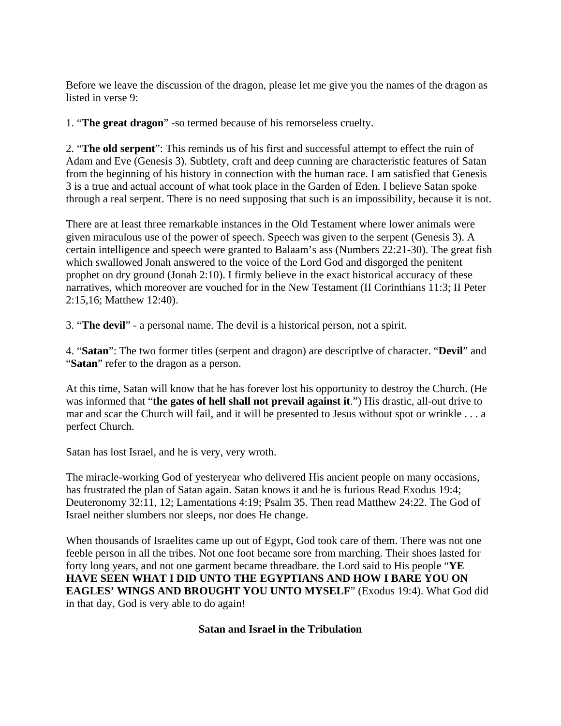Before we leave the discussion of the dragon, please let me give you the names of the dragon as listed in verse 9:

1. "**The great dragon**" -so termed because of his remorseless cruelty.

2. "**The old serpent**": This reminds us of his first and successful attempt to effect the ruin of Adam and Eve (Genesis 3). Subtlety, craft and deep cunning are characteristic features of Satan from the beginning of his history in connection with the human race. I am satisfied that Genesis 3 is a true and actual account of what took place in the Garden of Eden. I believe Satan spoke through a real serpent. There is no need supposing that such is an impossibility, because it is not.

There are at least three remarkable instances in the Old Testament where lower animals were given miraculous use of the power of speech. Speech was given to the serpent (Genesis 3). A certain intelligence and speech were granted to Balaam's ass (Numbers 22:21-30). The great fish which swallowed Jonah answered to the voice of the Lord God and disgorged the penitent prophet on dry ground (Jonah 2:10). I firmly believe in the exact historical accuracy of these narratives, which moreover are vouched for in the New Testament (II Corinthians 11:3; II Peter 2:15,16; Matthew 12:40).

3. "**The devil**" - a personal name. The devil is a historical person, not a spirit.

4. "**Satan**": The two former titles (serpent and dragon) are descriptlve of character. "**Devil**" and "**Satan**" refer to the dragon as a person.

At this time, Satan will know that he has forever lost his opportunity to destroy the Church. (He was informed that "**the gates of hell shall not prevail against it**.") His drastic, all-out drive to mar and scar the Church will fail, and it will be presented to Jesus without spot or wrinkle . . . a perfect Church.

Satan has lost Israel, and he is very, very wroth.

The miracle-working God of yesteryear who delivered His ancient people on many occasions, has frustrated the plan of Satan again. Satan knows it and he is furious Read Exodus 19:4; Deuteronomy 32:11, 12; Lamentations 4:19; Psalm 35. Then read Matthew 24:22. The God of Israel neither slumbers nor sleeps, nor does He change.

When thousands of Israelites came up out of Egypt, God took care of them. There was not one feeble person in all the tribes. Not one foot became sore from marching. Their shoes lasted for forty long years, and not one garment became threadbare. the Lord said to His people "**YE HAVE SEEN WHAT I DID UNTO THE EGYPTIANS AND HOW I BARE YOU ON EAGLES' WINGS AND BROUGHT YOU UNTO MYSELF**" (Exodus 19:4). What God did in that day, God is very able to do again!

## **Satan and Israel in the Tribulation**